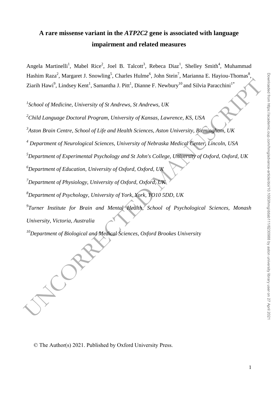# **A rare missense variant in the** *ATP2C2* **gene is associated with language impairment and related measures**

Angela Martinelli<sup>1</sup>, Mabel Rice<sup>2</sup>, Joel B. Talcott<sup>3</sup>, Rebeca Diaz<sup>1</sup>, Shelley Smith<sup>4</sup>, Muhammad Hashim Raza<sup>2</sup>, Margaret J. Snowling<sup>5</sup>, Charles Hulme<sup>6</sup>, John Stein<sup>7</sup>, Marianna E. Hayiou-Thomas<sup>8</sup> .<br>, Ziarih Hawi<sup>9</sup>, Lindsey Kent<sup>1</sup>, Samantha J. Pitt<sup>1</sup>, Dianne F. Newbury<sup>10</sup> and Silvia Paracchini<sup>1\*</sup>

*1 School of Medicine, University of St Andrews, St Andrews, UK*

*<sup>2</sup>Child Language Doctoral Program, University of Kansas, Lawrence, KS, USA*

*3 Aston Brain Centre, School of Life and Health Sciences, Aston University, Birmingham, UK*

*<sup>4</sup> Department of Neurological Sciences, University of Nebraska Medical Center, Lincoln, USA*

*<sup>5</sup>Department of Experimental Psychology and St John's College, University of Oxford, Oxford, UK*

*<sup>6</sup>Department of Education, University of Oxford, Oxford, UK*

*<sup>7</sup>Department of Physiology, University of Oxford, Oxford, UK*

*<sup>8</sup>Department of Psychology, University of York, York, YO10 5DD, UK*

Elain Haws", Lindsey Kent', Samantha J. Pitt', Diame F. Newbury" and Silvia Paracchini"<br>
"School of Medicine, University of St Andrews, St Andrews, UK<br>
"Child Language Doctoral Program, University of Kanasa, Lawrence, KS, *9 Turner Institute for Brain and Mental Health, School of Psychological Sciences, Monash University, Victoria, Australia* 

*<sup>10</sup>Department of Biological and Medical Sciences, Oxford Brookes Universit*y

© The Author(s) 2021. Published by Oxford University Press.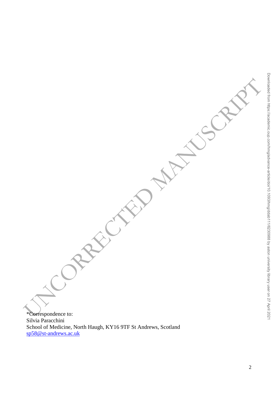And CAPECORAL AND MANUSCRIPT \*Correspondence to: Silvia Paracchini School of Medicine, North Haugh, KY16 9TF St Andrews, Scotland [sp58@st-andrews.ac.uk](mailto:sp58@st-andrews.ac.uk)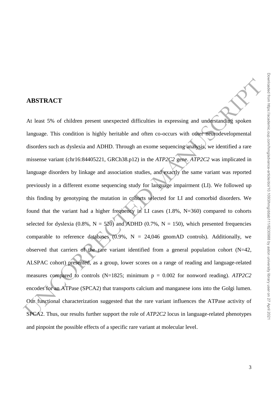# At least 5% of children present unexpected difficulties in expressing and understanding spoken

# **ABSTRACT**

**ABSTRACT**<br>At least 5% of children present unexpected difficulties in expressing and undefstanding spoken<br>language. This condition is highly herinble and often co-occurs with other momedial disorders such as dyslevia and language. This condition is highly heritable and often co-occurs with other neurodevelopmental disorders such as dyslexia and ADHD. Through an exome sequencing analysis, we identified a rare missense variant (chr16:84405221, GRCh38.p12) in the *ATP2C2* gene. *ATP2C2* was implicated in language disorders by linkage and association studies, and exactly the same variant was reported previously in a different exome sequencing study for language impairment (LI). We followed up this finding by genotyping the mutation in cohorts selected for LI and comorbid disorders. We found that the variant had a higher frequency in LI cases (1.8%, N=360) compared to cohorts selected for dyslexia (0.8%,  $N = 520$ ) and ADHD (0.7%,  $N = 150$ ), which presented frequencies comparable to reference databases  $(0.9\% , N = 24,046$  gnomAD controls). Additionally, we observed that carriers of the rare variant identified from a general population cohort  $(N=42,$ ALSPAC cohort) presented, as a group, lower scores on a range of reading and language-related measures compared to controls (N=1825; minimum p = 0.002 for nonword reading). *ATP2C2* encodes for an ATPase (SPCA2) that transports calcium and manganese ions into the Golgi lumen. Our functional characterization suggested that the rare variant influences the ATPase activity of SPCA2. Thus, our results further support the role of *ATP2C2* locus in language-related phenotypes and pinpoint the possible effects of a specific rare variant at molecular level.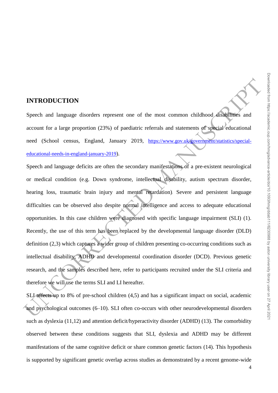### **INTRODUCTION**

Speech and language disorders represent one of the most common childhood disabilities and account for a large proportion (23%) of paediatric referrals and statements of special educational need (School census, England, January 2019, https://www.gov.uk/government/statistics/specialeducational-needs-in-england-january-2019).

**INTRODUCTION**<br>Speech and language disorders represent one of the most common childhood. disabilities and<br>account for a large proportion (23%) of paediatric referrals and statements of special electronical<br>mean (School ce Speech and language deficits are often the secondary manifestations of a pre-existent neurological or medical condition (e.g. Down syndrome, intellectual disability, autism spectrum disorder, hearing loss, traumatic brain injury and mental retardation). Severe and persistent language difficulties can be observed also despite normal intelligence and access to adequate educational opportunities. In this case children were diagnosed with specific language impairment (SLI) (1). Recently, the use of this term has been replaced by the developmental language disorder (DLD) definition (2,3) which captures a wider group of children presenting co-occurring conditions such as intellectual disability, ADHD and developmental coordination disorder (DCD). Previous genetic research, and the samples described here, refer to participants recruited under the SLI criteria and therefore we will use the terms SLI and LI hereafter.

SLI affects up to 8% of pre-school children (4,5) and has a significant impact on social, academic and psychological outcomes (6–10). SLI often co-occurs with other neurodevelopmental disorders such as dyslexia (11,12) and attention deficit/hyperactivity disorder (ADHD) (13). The comorbidity observed between these conditions suggests that SLI, dyslexia and ADHD may be different manifestations of the same cognitive deficit or share common genetic factors (14). This hypothesis is supported by significant genetic overlap across studies as demonstrated by a recent genome-wide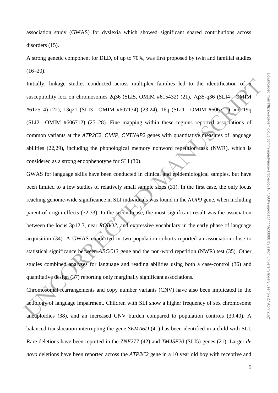association study (GWAS) for dyslexia which showed significant shared contributions across disorders (15).

A strong genetic component for DLD, of up to 70%, was first proposed by twin and familial studies  $(16-20)$ .

Initially, linkage studies conducted across multiplex families led to the identification of 5 susceptibility loci on chromosomes 2q36 (SLI5, OMIM #615432) (21), 7q35-q36 (SLI4—OMIM #612514) (22), 13q21 (SLI3—OMIM #607134) (23,24), 16q (SLI1—OMIM #606711) and 19q (SLI2—OMIM #606712) (25–28). Fine mapping within these regions reported associations of common variants at the *ATP2C2*, *CMIP*, *CNTNAP2* genes with quantitative measures of language abilities (22,29), including the phonological memory nonword repetition task (NWR), which is considered as a strong endophenotype for SLI (30).

Initially, linkage studies conducted across multiplex furnilies led to the identification of susceptibility loci on chromosomes 2q36 (SLIS, OMM 4615432) (21), 7q35-q36 (SLI4—6XIM 46121314) (22), 13q21 (SLI3—OMM 4607134) ( GWAS for language skills have been conducted in clinical and epidemiological samples, but have been limited to a few studies of relatively small sample sizes (31). In the first case, the only locus reaching genome-wide significance in SLI individuals was found in the *NOP9* gene, when including parent-of-origin effects (32,33). In the second case, the most significant result was the association between the locus 3p12.3, near *ROBO2*, and expressive vocabulary in the early phase of language acquisition (34). A GWAS conducted in two population cohorts reported an association close to statistical significance between *ABCC13* gene and the non-word repetition (NWR) test (35). Other studies combined analyses for language and reading abilities using both a case-control (36) and quantitative design (37) reporting only marginally significant associations.

Chromosomal rearrangements and copy number variants (CNV) have also been implicated in the aetiology of language impairment. Children with SLI show a higher frequency of sex chromosome aneuploidies (38), and an increased CNV burden compared to population controls (39,40). A balanced translocation interrupting the gene *SEMA6D* (41) has been identified in a child with SLI. Rare deletions have been reported in the *ZNF277* (42) and *TM4SF20* (SLI5) genes (21). Larger *de novo* deletions have been reported across the *ATP2C2* gene in a 10 year old boy with receptive and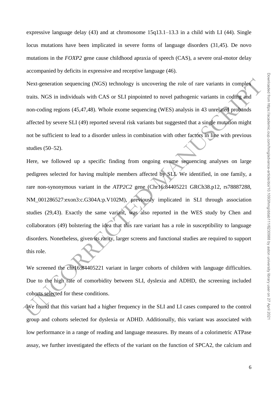expressive language delay (43) and at chromosome 15q13.1–13.3 in a child with LI (44). Single locus mutations have been implicated in severe forms of language disorders (31,45). De novo mutations in the *FOXP2* gene cause childhood apraxia of speech (CAS), a severe oral-motor delay accompanied by deficits in expressive and receptive language (46).

Next-generation sequencing (NGS) technology is uncovering the role of rare variants in complex traits. NGS in individuals with CAS or SLI pinpointed to novel pathogenic variants in coding and non-coding regions (45,47,48). Whole exome sequencing (WES) analysis in 43 unrelated probands affected by severe SLI (49) reported several risk variants but suggested that a single mutation might not be sufficient to lead to a disorder unless in combination with other factors in line with previous studies (50–52).

Next-generation sequencing (NGS) technology is uncovering the role of rare variants in complex<br>
traits. NGS in individuals with CAS or SLI pinpointed to novel pulhogenic variants in conting and<br>
non-coding regions (45,47, Here, we followed up a specific finding from ongoing exome sequencing analyses on large pedigrees selected for having multiple members affected by SLI. We identified, in one family, a rare non-synonymous variant in the *ATP2C2* gene (Chr16:84405221 GRCh38.p12, rs78887288, NM\_001286527:exon3:c.G304A:p.V102M), previously implicated in SLI through association studies (29,43). Exactly the same variant, was also reported in the WES study by Chen and collaborators (49) bolstering the idea that this rare variant has a role in susceptibility to language disorders. Nonetheless, given its rarity, larger screens and functional studies are required to support this role.

We screened the chr16:84405221 variant in larger cohorts of children with language difficulties. Due to the high rate of comorbidity between SLI, dyslexia and ADHD, the screening included cohorts selected for these conditions.

We found that this variant had a higher frequency in the SLI and LI cases compared to the control group and cohorts selected for dyslexia or ADHD. Additionally, this variant was associated with low performance in a range of reading and language measures. By means of a colorimetric ATPase assay, we further investigated the effects of the variant on the function of SPCA2, the calcium and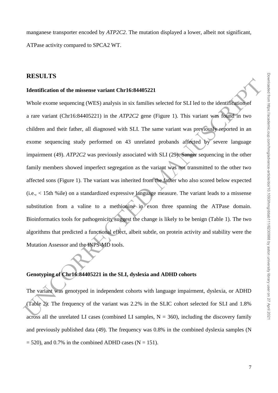manganese transporter encoded by *ATP2C2*. The mutation displayed a lower, albeit not significant, ATPase activity compared to SPCA2 WT.

# **RESULTS**

### **Identification of the missense variant Chr16:84405221**

**Example 12**<br> **Identification of the missense variant Chr16:84405221**<br>
Whole exome sequencing (WES) analysis in six families selected for SLI led to the identification<br>
of a rare variant (Chr16:84405221) in the *ATP2C2* g Whole exome sequencing (WES) analysis in six families selected for SLI led to the identification of a rare variant (Chr16:84405221) in the *ATP2C2* gene (Figure 1). This variant was found in two children and their father, all diagnosed with SLI. The same variant was previously reported in an exome sequencing study performed on 43 unrelated probands affected by severe language impairment (49). *ATP2C2* was previously associated with SLI (29). Sanger sequencing in the other family members showed imperfect segregation as the variant was not transmitted to the other two affected sons (Figure 1). The variant was inherited from the father who also scored below expected (i.e., < 15th %ile) on a standardized expressive language measure. The variant leads to a missense substitution from a valine to a methionine in exon three spanning the ATPase domain. Bioinformatics tools for pathogenicity suggest the change is likely to be benign (Table 1). The two algorithms that predicted a functional effect, albeit subtle, on protein activity and stability were the Mutation Assessor and the INPS-MD tools.

### **Genotyping of Chr16:84405221 in the SLI, dyslexia and ADHD cohorts**

The variant was genotyped in independent cohorts with language impairment, dyslexia, or ADHD (Table 2). The frequency of the variant was 2.2% in the SLIC cohort selected for SLI and 1.8% across all the unrelated LI cases (combined LI samples,  $N = 360$ ), including the discovery family and previously published data (49). The frequency was 0.8% in the combined dyslexia samples (N  $= 520$ ), and 0.7% in the combined ADHD cases (N = 151).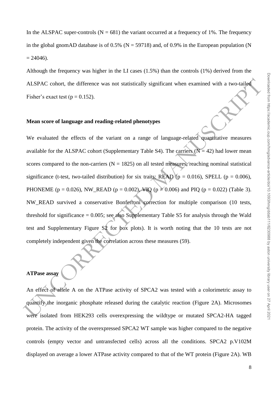Although the frequency was higher in the LI cases (1.5%) than the controls (1%) derived from the ALSPAC cohort, the difference was not statistically significant when examined with a two-tailed Fisher's exact test ( $p = 0.152$ ).

### **Mean score of language and reading-related phenotypes**

ALSPAC cohort, the difference was not statistically significant when examined with a two-tailed<br>
Fisher's exact test (p = 0.152).<br>
Mean score of language and reading-related phenotypes<br>
We evaluated the effects of the var We evaluated the effects of the variant on a range of language-related quantitative measures available for the ALSPAC cohort (Supplementary Table S4). The carriers ( $N = 42$ ) had lower mean scores compared to the non-carriers ( $N = 1825$ ) on all tested measures, reaching nominal statistical significance (t-test, two-tailed distribution) for six traits: READ ( $p = 0.016$ ), SPELL ( $p = 0.006$ ), PHONEME (p = 0.026), NW\_READ (p = 0.002), VIQ (p  $\geq$  0.006) and PIQ (p = 0.022) (Table 3). NW\_READ survived a conservative Bonferroni correction for multiple comparison (10 tests, threshold for significance  $= 0.005$ ; see also Supplementary Table S5 for analysis through the Wald test and Supplementary Figure S2 for box plots). It is worth noting that the 10 tests are not completely independent given the correlation across these measures (59).

### **ATPase assay**

An effect of allele A on the ATPase activity of SPCA2 was tested with a colorimetric assay to quantify the inorganic phosphate released during the catalytic reaction (Figure 2A). Microsomes were isolated from HEK293 cells overexpressing the wildtype or mutated SPCA2-HA tagged protein. The activity of the overexpressed SPCA2 WT sample was higher compared to the negative controls (empty vector and untransfected cells) across all the conditions. SPCA2 p.V102M displayed on average a lower ATPase activity compared to that of the WT protein (Figure 2A). WB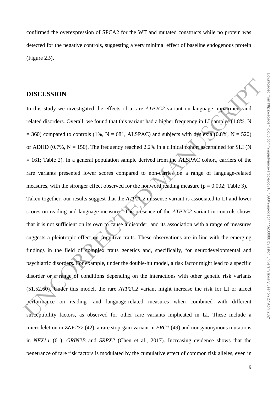confirmed the overexpression of SPCA2 for the WT and mutated constructs while no protein was detected for the negative controls, suggesting a very minimal effect of baseline endogenous protein (Figure 2B).

### **DISCUSSION**

**DISCUSSION**<br>In this study we investigated the effects of a rare  $ATP2C2$  variant on language importionally and<br>related disorders. Overall, we found that this variant had a higher frequency in LI samples (1.8%, N<br>= 360) co In this study we investigated the effects of a rare *ATP2C2* variant on language impairment and related disorders. Overall, we found that this variant had a higher frequency in LI samples (1.8%, N  $= 360$ ) compared to controls (1%, N = 681, ALSPAC) and subjects with dyslexia (0.8%, N = 520) or ADHD (0.7%,  $N = 150$ ). The frequency reached 2.2% in a clinical cohort ascertained for SLI (N = 161; Table 2). In a general population sample derived from the ALSPAC cohort, carriers of the rare variants presented lower scores compared to non-carries on a range of language-related measures, with the stronger effect observed for the nonword reading measure ( $p = 0.002$ ; Table 3). Taken together, our results suggest that the *ATP2C2* missense variant is associated to LI and lower scores on reading and language measures. The presence of the *ATP2C2* variant in controls shows that it is not sufficient on its own to cause a disorder, and its association with a range of measures suggests a pleiotropic effect on cognitive traits. These observations are in line with the emerging findings in the field of complex traits genetics and, specifically, for neurodevelopmental and psychiatric disorders. For example, under the double-hit model, a risk factor might lead to a specific disorder or a range of conditions depending on the interactions with other genetic risk variants (51,52,60). Under this model, the rare *ATP2C2* variant might increase the risk for LI or affect performance on reading- and language-related measures when combined with different susceptibility factors, as observed for other rare variants implicated in LI. These include a microdeletion in *ZNF277* (42), a rare stop-gain variant in *ERC1* (49) and nonsynonymous mutations in *NFXL1* (61), *GRIN2B* and *SRPX2* (Chen et al., 2017). Increasing evidence shows that the penetrance of rare risk factors is modulated by the cumulative effect of common risk alleles, even in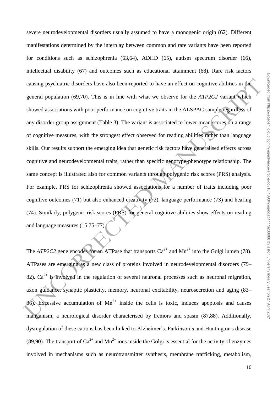manifestations determined by the interplay between common and rare variants have been reported Downloaded from https://academic.oup.com/hmg/advance-article/doi/10.1093/hmg/ddab111/6230988 by aston university library user on 27 April 2021

causing psychiatric disorders have also been reported to have an effect on cognitive abilities in the<br>general population (69,70). This is in line with what we observe for the ATP2C2 variant which<br>showed associations with for conditions such as schizophrenia (63,64), ADHD (65), autism spectrum disorder (66), intellectual disability (67) and outcomes such as educational attainment (68). Rare risk factors causing psychiatric disorders have also been reported to have an effect on cognitive abilities in the general population (69,70). This is in line with what we observe for the *ATP2C2* variant which showed associations with poor performance on cognitive traits in the ALSPAC sample regardless of any disorder group assignment (Table 3). The variant is associated to lower mean scores on a range of cognitive measures, with the strongest effect observed for reading abilities rather than language skills. Our results support the emerging idea that genetic risk factors have generalised effects across cognitive and neurodevelopmental traits, rather than specific genotype-phenotype relationship. The same concept is illustrated also for common variants through polygenic risk scores (PRS) analysis. For example, PRS for schizophrenia showed associations for a number of traits including poor cognitive outcomes (71) but also enhanced creativity (72), language performance (73) and hearing (74). Similarly, polygenic risk scores (PRS) for general cognitive abilities show effects on reading and language measures (15,75–77). The *ATP2C2* gene encodes for an ATPase that transports  $Ca^{2+}$  and  $Mn^{2+}$  into the Golgi lumen (78). ATPases are emerging as a new class of proteins involved in neurodevelopmental disorders (79– 82).  $Ca^{2+}$  is involved in the regulation of several neuronal processes such as neuronal migration, axon guidance, synaptic plasticity, memory, neuronal excitability, neurosecretion and aging (83– 86). Excessive accumulation of  $Mn^{2+}$  inside the cells is toxic, induces apoptosis and causes

severe neurodevelopmental disorders usually assumed to have a monogenic origin (62). Different

manganism, a neurological disorder characterised by tremors and spasm (87,88). Additionally, dysregulation of these cations has been linked to Alzheimer's, Parkinson's and Huntington's disease (89,90). The transport of  $Ca^{2+}$  and  $Mn^{2+}$  ions inside the Golgi is essential for the activity of enzymes involved in mechanisms such as neurotransmitter synthesis, membrane trafficking, metabolism,

10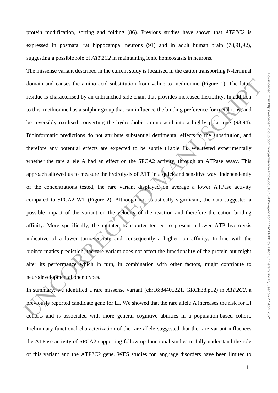protein modification, sorting and folding (86). Previous studies have shown that *ATP2C2* is expressed in postnatal rat hippocampal neurons (91) and in adult human brain (78,91,92), suggesting a possible role of *ATP2C2* in maintaining ionic homeostasis in neurons.

domain and causes the amino acid substitution from valine to methionine (Figure 1). The lag<br>residue is characterised by an unbranched side chain that provides increased flexibility. In addition<br>to this, methionine has a s The missense variant described in the current study is localised in the cation transporting N-terminal domain and causes the amino acid substitution from valine to methionine (Figure 1). The latter residue is characterised by an unbranched side chain that provides increased flexibility. In addition to this, methionine has a sulphur group that can influence the binding preference for metal ions, and be reversibly oxidised converting the hydrophobic amino acid into a highly polar one (93,94). Bioinformatic predictions do not attribute substantial detrimental effects to the substitution, and therefore any potential effects are expected to be subtle (Table 1). We tested experimentally whether the rare allele A had an effect on the SPCA2 activity, through an ATPase assay. This approach allowed us to measure the hydrolysis of ATP in a quick and sensitive way. Independently of the concentrations tested, the rare variant displayed on average a lower ATPase activity compared to SPCA2 WT (Figure 2). Although not statistically significant, the data suggested a possible impact of the variant on the velocity of the reaction and therefore the cation binding affinity. More specifically, the mutated transporter tended to present a lower ATP hydrolysis indicative of a lower turnover rate and consequently a higher ion affinity. In line with the bioinformatics prediction, the rare variant does not affect the functionality of the protein but might alter its performance which in turn, in combination with other factors, might contribute to neurodevelopmental phenotypes.

In summary, we identified a rare missense variant (chr16:84405221, GRCh38.p12) in *ATP2C2*, a previously reported candidate gene for LI. We showed that the rare allele A increases the risk for LI cohorts and is associated with more general cognitive abilities in a population-based cohort. Preliminary functional characterization of the rare allele suggested that the rare variant influences the ATPase activity of SPCA2 supporting follow up functional studies to fully understand the role of this variant and the ATP2C2 gene. WES studies for language disorders have been limited to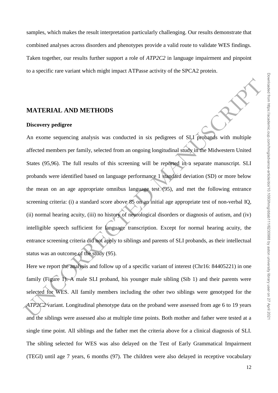samples, which makes the result interpretation particularly challenging. Our results demonstrate that combined analyses across disorders and phenotypes provide a valid route to validate WES findings. Taken together, our results further support a role of *ATP2C2* in language impairment and pinpoint to a specific rare variant which might impact ATPasse activity of the SPCA2 protein.

### **MATERIAL AND METHODS**

### **Discovery pedigree**

**MATERIAL AND METHODS**<br> **Discovery pedigree:**<br>
An exome sequencing analysis was conducted in six pedigrees of SLI probands with multiple<br>
affected members per family, selected from an ongoing longitudinal study in the Mid An exome sequencing analysis was conducted in six pedigrees of SLI probands with multiple affected members per family, selected from an ongoing longitudinal study in the Midwestern United States (95,96). The full results of this screening will be reported in a separate manuscript. SLI probands were identified based on language performance 1 standard deviation (SD) or more below the mean on an age appropriate omnibus language test  $(95)$ , and met the following entrance screening criteria: (i) a standard score above 85 on an initial age appropriate test of non-verbal IQ, (ii) normal hearing acuity, (iii) no history of neurological disorders or diagnosis of autism, and (iv) intelligible speech sufficient for language transcription. Except for normal hearing acuity, the entrance screening criteria did not apply to siblings and parents of SLI probands, as their intellectual status was an outcome of the study (95).

Here we report the analysis and follow up of a specific variant of interest (Chr16: 84405221) in one family (Figure 1). A male SLI proband, his younger male sibling (Sib 1) and their parents were selected for WES. All family members including the other two siblings were genotyped for the *ATP2C2* variant. Longitudinal phenotype data on the proband were assessed from age 6 to 19 years and the siblings were assessed also at multiple time points. Both mother and father were tested at a single time point. All siblings and the father met the criteria above for a clinical diagnosis of SLI. The sibling selected for WES was also delayed on the Test of Early Grammatical Impairment (TEGI) until age 7 years, 6 months (97). The children were also delayed in receptive vocabulary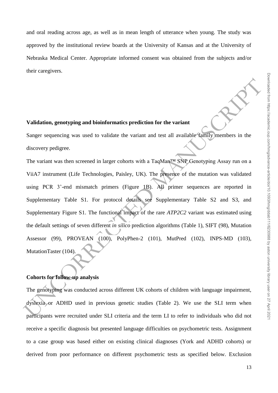and oral reading across age, as well as in mean length of utterance when young. The study was approved by the institutional review boards at the University of Kansas and at the University of Nebraska Medical Center. Appropriate informed consent was obtained from the subjects and/or their caregivers.

### **Validation, genotyping and bioinformatics prediction for the variant**

Sanger sequencing was used to validate the variant and test all available family members in the discovery pedigree.

Validation, genotyping and bioinformatics prediction for the variant<br>
Sanger sequencing was used to validate the variant and test all available tamily members in the<br>
discovery pedigree.<br>
The variant was then screened in The variant was then screened in larger cohorts with a TaqMan™ SNP Genotyping Assay run on a ViiA7 instrument (Life Technologies, Paisley, UK). The presence of the mutation was validated using PCR 3'-end mismatch primers (Figure 1B). All primer sequences are reported in Supplementary Table S1. For protocol details see Supplementary Table S2 and S3, and Supplementary Figure S1. The functional impact of the rare *ATP2C2* variant was estimated using the default settings of seven different *in silico* prediction algorithms (Table 1), SIFT (98), Mutation Assessor (99), PROVEAN (100), PolyPhen-2 (101), MutPred (102), INPS-MD (103), MutationTaster (104).

### **Cohorts for follow-up analysis**

The genotyping was conducted across different UK cohorts of children with language impairment, dyslexia or ADHD used in previous genetic studies (Table 2). We use the SLI term when participants were recruited under SLI criteria and the term LI to refer to individuals who did not receive a specific diagnosis but presented language difficulties on psychometric tests. Assignment to a case group was based either on existing clinical diagnoses (York and ADHD cohorts) or derived from poor performance on different psychometric tests as specified below. Exclusion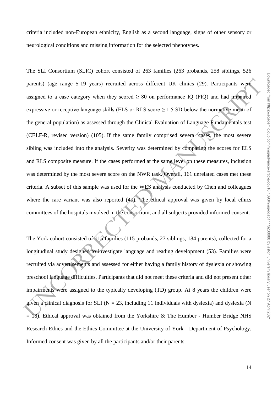criteria included non-European ethnicity, English as a second language, signs of other sensory or neurological conditions and missing information for the selected phenotypes.

purents) (age range 5-19 years) recruited across different UK clinics (29). Participants were<br>assigned to a case category when they seared  $\geq 80$  on performance IQ (PIO) and had impaired<br>expressive or receptive language The SLI Consortium (SLIC) cohort consisted of 263 families (263 probands, 258 siblings, 526 parents) (age range 5-19 years) recruited across different UK clinics (29). Participants were assigned to a case category when they scored  $\geq 80$  on performance IQ (PIQ) and had impaired expressive or receptive language skills (ELS or RLS score  $\geq$  1.5 SD below the normative mean of the general population) as assessed through the Clinical Evaluation of Language Fundamentals test (CELF-R, revised version) (105). If the same family comprised several cases, the most severe sibling was included into the analysis. Severity was determined by comparing the scores for ELS and RLS composite measure. If the cases performed at the same level on these measures, inclusion was determined by the most severe score on the NWR task. Overall, 161 unrelated cases met these criteria. A subset of this sample was used for the WES analysis conducted by Chen and colleagues where the rare variant was also reported (49). The ethical approval was given by local ethics committees of the hospitals involved in the consortium, and all subjects provided informed consent.

The York cohort consisted of 115 families (115 probands, 27 siblings, 184 parents), collected for a longitudinal study designed to investigate language and reading development (53). Families were recruited via advertisements and assessed for either having a family history of dyslexia or showing preschool language difficulties. Participants that did not meet these criteria and did not present other impairments were assigned to the typically developing (TD) group. At 8 years the children were given a clinical diagnosis for SLI ( $N = 23$ , including 11 individuals with dyslexia) and dyslexia (N  $= 18$ ). Ethical approval was obtained from the Yorkshire & The Humber - Humber Bridge NHS Research Ethics and the Ethics Committee at the University of York - Department of Psychology. Informed consent was given by all the participants and/or their parents.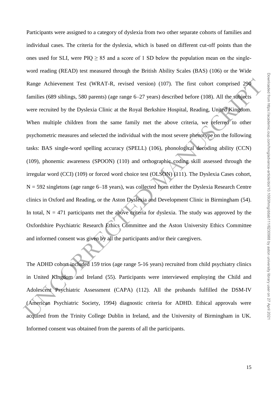Range Achievement Test (WRAT-R, revised version) (107). The first cohort comprised 296<br>
families (689 siblings, 580 parents) (age range 6–27 years) described before (108). All the subjects<br>
were recruited by the Dyslexia Participants were assigned to a category of dyslexia from two other separate cohorts of families and individual cases. The criteria for the dyslexia, which is based on different cut-off points than the ones used for SLI, were  $PIQ \geq 85$  and a score of 1 SD below the population mean on the singleword reading (READ) test measured through the British Ability Scales (BAS) (106) or the Wide Range Achievement Test (WRAT-R, revised version) (107). The first cohort comprised 290 families (689 siblings, 580 parents) (age range 6–27 years) described before (108). All the subjects were recruited by the Dyslexia Clinic at the Royal Berkshire Hospital, Reading, United Kingdom. When multiple children from the same family met the above criteria, we referred to other psychometric measures and selected the individual with the most severe phenotype on the following tasks: BAS single-word spelling accuracy (SPELL) (106), phonological decoding ability (CCN) (109), phonemic awareness (SPOON) (110) and orthographic coding skill assessed through the irregular word (CCI) (109) or forced word choice test (OLSON) (111). The Dyslexia Cases cohort,  $N = 592$  singletons (age range 6–18 years), was collected from either the Dyslexia Research Centre clinics in Oxford and Reading, or the Aston Dyslexia and Development Clinic in Birmingham (54). In total,  $N = 471$  participants met the above criteria for dyslexia. The study was approved by the Oxfordshire Psychiatric Research Ethics Committee and the Aston University Ethics Committee and informed consent was given by all the participants and/or their caregivers.

The ADHD cohort included 159 trios (age range 5-16 years) recruited from child psychiatry clinics in United Kingdom/and Ireland  $(55)$ . Participants were interviewed employing the Child and Adolescent Psychiatric Assessment (CAPA) (112). All the probands fulfilled the DSM-IV (American Psychiatric Society, 1994) diagnostic criteria for ADHD. Ethical approvals were acquired from the Trinity College Dublin in Ireland, and the University of Birmingham in UK. Informed consent was obtained from the parents of all the participants.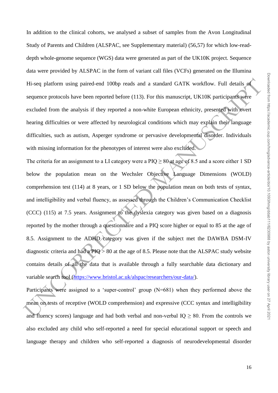In addition to the clinical cohorts, we analysed a subset of samples from the Avon Longitudinal Study of Parents and Children (ALSPAC, see Supplementary material) (56,57) for which low-readdepth whole-genome sequence (WGS) data were generated as part of the UK10K project. Sequence data were provided by ALSPAC in the form of variant call files (VCFs) generated on the Illumina Hi-seq platform using paired-end 100bp reads and a standard GATK workflow. Full details of sequence protocols have been reported before (113). For this manuscript, UK10K participants were excluded from the analysis if they reported a non-white European ethnicity, presented with overt hearing difficulties or were affected by neurological conditions which may explain their language difficulties, such as autism, Asperger syndrome or pervasive developmental disorder. Individuals with missing information for the phenotypes of interest were also excluded.

Hi-seq plutform using paired-end 100bp reads and a standard GATK workflow. Full details at sequence protocols have been reported before (113). For this manuscript, UK10K participants were excluded from the analysis if the The criteria for an assignment to a LI category were a PIQ  $\geq 80$  at age of 8.5 and a score either 1 SD below the population mean on the Wechsler Objective Language Dimensions (WOLD) comprehension test (114) at 8 years, or 1 SD below the population mean on both tests of syntax, and intelligibility and verbal fluency, as assessed through the Children's Communication Checklist (CCC) (115) at 7.5 years. Assignment to the dyslexia category was given based on a diagnosis reported by the mother through a questionnaire and a PIQ score higher or equal to 85 at the age of 8.5. Assignment to the ADHD category was given if the subject met the DAWBA DSM-IV diagnostic criteria and had a  $PIQ > 80$  at the age of 8.5. Please note that the ALSPAC study website contains details of all the data that is available through a fully searchable data dictionary and variable search tool (https://www.bristol.ac.uk/alspac/researchers/our-data/).

Participants were assigned to a 'super-control' group (N=681) when they performed above the mean on tests of receptive (WOLD comprehension) and expressive (CCC syntax and intelligibility and fluency scores) language and had both verbal and non-verbal  $IQ \geq 80$ . From the controls we also excluded any child who self-reported a need for special educational support or speech and language therapy and children who self-reported a diagnosis of neurodevelopmental disorder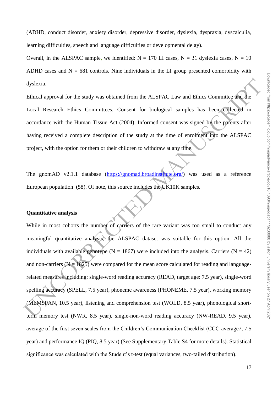(ADHD, conduct disorder, anxiety disorder, depressive disorder, dyslexia, dyspraxia, dyscalculia, learning difficulties, speech and language difficulties or developmental delay).

Overall, in the ALSPAC sample, we identified:  $N = 170$  LI cases,  $N = 31$  dyslexia cases,  $N = 10$ ADHD cases and  $N = 681$  controls. Nine individuals in the LI group presented comorbidity with dyslexia.

Ethical approval for the study was obtained from the ALSPAC Law and Ethics Committee and the Local Research Ethics Committees. Consent for biological samples has been collected in accordance with the Human Tissue Act (2004). Informed consent was signed by the parents after having received a complete description of the study at the time of enrolment into the ALSPAC project, with the option for them or their children to withdraw at any time.

The gnomAD v2.1.1 database (https://gnomad.broadinstitute.org/) was used as a reference European population (58). Of note, this source includes the UK10K samples.

### **Quantitative analysis**

dyslexia.<br>
Ethical approval for the study was obtained from the ALSPAC Law and Ethics Committee and the<br>
Local Research Ethics Committees. Consent for biological samples has been collected in<br>
accordance with the Human Ti While in most cohorts the number of carriers of the rare variant was too small to conduct any meaningful quantitative analysis, the ALSPAC dataset was suitable for this option. All the individuals with available genotype ( $N = 1867$ ) were included into the analysis. Carriers ( $N = 42$ ) and non-carriers  $(N = 1825)$  were compared for the mean score calculated for reading and languagerelated measures including: single-word reading accuracy (READ, target age: 7.5 year), single-word spelling accuracy (SPELL, 7.5 year), phoneme awareness (PHONEME, 7.5 year), working memory (MEMSPAN, 10.5 year), listening and comprehension test (WOLD, 8.5 year), phonological shortterm memory test (NWR, 8.5 year), single-non-word reading accuracy (NW-READ, 9.5 year), average of the first seven scales from the Children's Communication Checklist (CCC-average7, 7.5 year) and performance IQ (PIQ, 8.5 year) (See Supplementary Table S4 for more details). Statistical significance was calculated with the Student's t-test (equal variances, two-tailed distribution).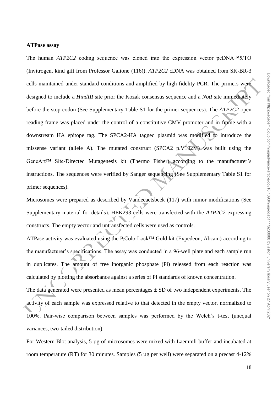### **ATPase assay**

cells maintained under standard conditions and amplified by high fidelity PCR. The primers were<br>designed to include a *HindIII* site prior the Kozak consensus sequence and a *NorI* site immediately<br>before the stop codon ( The human *ATP2C2* coding sequence was cloned into the expression vector pcDNA™5/TO (Invitrogen, kind gift from Professor Galione (116)). *ATP2C2* cDNA was obtained from SK-BR-3 cells maintained under standard conditions and amplified by high fidelity PCR. The primers were designed to include a *HindIII* site prior the Kozak consensus sequence and a *NotI* site immediately before the stop codon (See Supplementary Table S1 for the primer sequences). The *ATP2C2* open reading frame was placed under the control of a constitutive CMV promoter and in frame with a downstream HA epitope tag. The SPCA2-HA tagged plasmid was modified to introduce the missense variant (allele A). The mutated construct (SPCA2 p.V102M) was built using the GeneArt™ Site-Directed Mutagenesis kit (Thermo Fisher) according to the manufacturer's instructions. The sequences were verified by Sanger sequencing (See Supplementary Table S1 for primer sequences).

Microsomes were prepared as described by Vandecaetsbeek (117) with minor modifications (See Supplementary material for details). HEK293 cells were transfected with the *ATP2C2* expressing constructs. The empty vector and untransfected cells were used as controls.

ATPase activity was evaluated using the P<sub>i</sub>ColorLock<sup>™</sup> Gold kit (Expedeon, Abcam) according to the manufacturer's specifications. The assay was conducted in a 96-well plate and each sample run in duplicates. The amount of free inorganic phosphate (Pi) released from each reaction was calculated by plotting the absorbance against a series of Pi standards of known concentration.

The data generated were presented as mean percentages  $\pm$  SD of two independent experiments. The activity of each sample was expressed relative to that detected in the empty vector, normalized to 100%. Pair-wise comparison between samples was performed by the Welch's t-test (unequal variances, two-tailed distribution).

For Western Blot analysis, 5 µg of microsomes were mixed with Laemmli buffer and incubated at room temperature (RT) for 30 minutes. Samples (5 µg per well) were separated on a precast 4-12%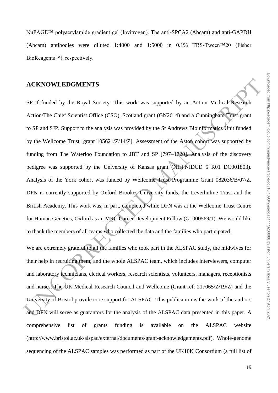NuPAGE™ polyacrylamide gradient gel (Invitrogen). The anti-SPCA2 (Abcam) and anti-GAPDH (Abcam) antibodies were diluted 1:4000 and 1:5000 in 0.1% TBS-Tween™20 (Fisher BioReagents™), respectively.

### **ACKNOWLEDGMENTS**

**ACKNOWLEDGMENTS**<br>
SP if funded by the Royal Society. This work was supported by an Action Medical Revealed<br>
Action/The Chief Scientist Office (CSO), Scotland grant (GN2614) and a Cunninghame from grant<br>
to SP and SIP. Su SP if funded by the Royal Society. This work was supported by an Action Medical Research Action/The Chief Scientist Office (CSO), Scotland grant (GN2614) and a Cunningham Trust grant to SP and SJP. Support to the analysis was provided by the St Andrews Bioinformatics Unit funded by the Wellcome Trust [grant 105621/Z/14/Z]. Assessment of the Aston cohort was supported by funding from The Waterloo Foundation to JBT and SP [797–1720]. Analysis of the discovery pedigree was supported by the University of Kansas grant (NIH:NIDCD 5 R01 DC001803). Analysis of the York cohort was funded by Wellcome Trust Programme Grant 082036/B/07/Z. DFN is currently supported by Oxford Brookes University funds, the Leverhulme Trust and the British Academy. This work was, in part, completed while DFN was at the Wellcome Trust Centre for Human Genetics, Oxford as an MRC Career Development Fellow (G1000569/1). We would like to thank the members of all teams who collected the data and the families who participated.

We are extremely grateful to all the families who took part in the ALSPAC study, the midwives for their help in recruiting them, and the whole ALSPAC team, which includes interviewers, computer and laboratory technicians, clerical workers, research scientists, volunteers, managers, receptionists and nurses. The UK Medical Research Council and Wellcome (Grant ref: 217065/Z/19/Z) and the University of Bristol provide core support for ALSPAC. This publication is the work of the authors and DFN will serve as guarantors for the analysis of the ALSPAC data presented in this paper. A comprehensive list of grants funding is available on the ALSPAC website (http://www.bristol.ac.uk/alspac/external/documents/grant-acknowledgements.pdf). Whole-genome sequencing of the ALSPAC samples was performed as part of the UK10K Consortium (a full list of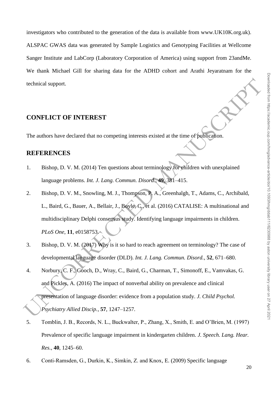investigators who contributed to the generation of the data is available from www.UK10K.org.uk). ALSPAC GWAS data was generated by Sample Logistics and Genotyping Facilities at Wellcome Sanger Institute and LabCorp (Laboratory Corporation of America) using support from 23andMe. We thank Michael Gill for sharing data for the ADHD cohort and Arathi Jeyaratnam for the technical support.

# **CONFLICT OF INTEREST**

The authors have declared that no competing interests existed at the time of publication.

# **REFERENCES**

- 1. Bishop, D. V. M. (2014) Ten questions about terminology for children with unexplained language problems. *Int. J. Lang. Commun. Disord.*, **49**, 381–415.
- **CONFLICT OF INTEREST**<br>
The authors have declared that no competing interests existed at the time of publication.<br> **REFERENCES**<br>
1. Bishop, D. V. M. (2014) Ten questions about terminology for while<br>there with unexplained 2. Bishop, D. V. M., Snowling, M. J., Thompson, P. A., Greenhalgh, T., Adams, C., Archibald, L., Baird, G., Bauer, A., Bellair, J., Boyle, C., et al. (2016) CATALISE: A multinational and multidisciplinary Delphi consensus study. Identifying language impairments in children. *PLoS One*, **11**, e0158753.
- 3. Bishop, D. V. M. (2017) Why is it so hard to reach agreement on terminology? The case of developmental language disorder (DLD). *Int. J. Lang. Commun. Disord.*, **52**, 671–680.
- 4. Norbury, C. F., Gooch, D., Wray, C., Baird, G., Charman, T., Simonoff, E., Vamvakas, G. and Pickles, A. (2016) The impact of nonverbal ability on prevalence and clinical presentation of language disorder: evidence from a population study. *J. Child Psychol. Psychiatry Allied Discip.*, **57**, 1247–1257.
- 5. Tomblin, J. B., Records, N. L., Buckwalter, P., Zhang, X., Smith, E. and O'Brien, M. (1997) Prevalence of specific language impairment in kindergarten children. *J. Speech. Lang. Hear. Res.*, **40**, 1245–60.
- 6. Conti‐Ramsden, G., Durkin, K., Simkin, Z. and Knox, E. (2009) Specific language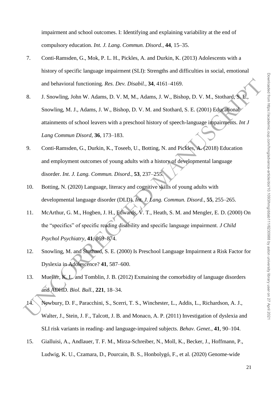impairment and school outcomes. I: Identifying and explaining variability at the end of compulsory education. *Int. J. Lang. Commun. Disord.*, **44**, 15–35.

- 7. Conti-Ramsden, G., Mok, P. L. H., Pickles, A. and Durkin, K. (2013) Adolescents with a history of specific language impairment (SLI): Strengths and difficulties in social, emotional and behavioral functioning. *Res. Dev. Disabil.*, **34**, 4161–4169.
- and behavioral functioning. Res. Dev. Disabil., 34, 4161-4169.<br>
1. Snowling, John W. Adams, D. V. M, M., Adams, J. W., Bishop, D. V. M., Stothard, S. E. (2001) Educational<br>
2. Snowling, M. J., Adams, J. W., Bishop, D. V. M 8. J. Snowling, John W. Adams, D. V. M, M., Adams, J. W., Bishop, D. V. M., Stothard, S. E. Snowling, M. J., Adams, J. W., Bishop, D. V. M. and Stothard, S. E. (2001) Educational attainments of school leavers with a preschool history of speech-language impairments. *Int J Lang Commun Disord*, **36**, 173–183.
- 9. Conti-Ramsden, G., Durkin, K., Toseeb, U., Botting, N. and Pickles, A. (2018) Education and employment outcomes of young adults with a history of developmental language disorder. *Int. J. Lang. Commun. Disord.*, **53**, 237–255.
- 10. Botting, N. (2020) Language, literacy and cognitive skills of young adults with developmental language disorder (DLD). *Int. J. Lang. Commun. Disord.*, **55**, 255–265.
- 11. McArthur, G. M., Hogben, J. H., Edwards, V. T., Heath, S. M. and Mengler, E. D. (2000) On the "specifics" of specific reading disability and specific language impairment. *J Child Psychol Psychiatry*, **41**, 869–874.
- 12. Snowling, M. and Stothard, S. E. (2000) Is Preschool Language Impairment a Risk Factor for Dyslexia in Adolescence? **41**, 587–600.
- 13. Mueller, K. L. and Tomblin, J. B. (2012) Exmaining the comorbidity of language disorders and ADHD. *Biol. Bull.*, **221**, 18–34.
- 14. Newbury, D. F., Paracchini, S., Scerri, T. S., Winchester, L., Addis, L., Richardson, A. J., Walter, J., Stein, J. F., Talcott, J. B. and Monaco, A. P. (2011) Investigation of dyslexia and SLI risk variants in reading- and language-impaired subjects. *Behav. Genet.*, **41**, 90–104.
- 15. Gialluisi, A., Andlauer, T. F. M., Mirza-Schreiber, N., Moll, K., Becker, J., Hoffmann, P., Ludwig, K. U., Czamara, D., Pourcain, B. S., Honbolygó, F., et al. (2020) Genome-wide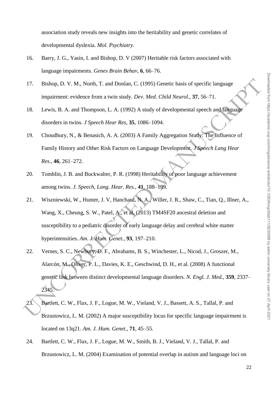association study reveals new insights into the heritability and genetic correlates of developmental dyslexia. *Mol. Psychiatry*.

- 16. Barry, J. G., Yasin, I. and Bishop, D. V (2007) Heritable risk factors associated with language impairments. *Genes Brain Behav*, **6**, 66–76.
- 17. Bishop, D. V. M., North, T. and Donlan, C. (1995) Genetic basis of specific language impairment: evidence from a twin study. *Dev. Med. Child Neurol.*, **37**, 56–71.
- 18. Lewis, B. A. and Thompson, L. A. (1992) A study of developmental speech and language disorders in twins. *J Speech Hear Res*, **35**, 1086–1094.
- 19. Choudhury, N., & Benasich, A. A. (2003) A Family Aggregation Study: The Influence of Family History and Other Risk Factors on Language Development. *J Speech Lang Hear Res.*, **46**, 261–272.
- 20. Tomblin, J. B. and Buckwalter, P. R. (1998) Heritability of poor language achievement among twins. *J. Speech, Lang. Hear. Res.*, **41**, 188–199.
- 17. Bishop, D. V. M., North, T. and Donlan, C. (1995) Genetic basis of specific language<br>
impairment: evidence from a twin study. Dev. *Med. Child Neurol.*, 37, 56–71.<br>
18. Lewis, B. A. and Thompson, L. A. (1992) A study 21. Wiszniewski, W., Hunter, J. V, Hanchard, N. A., Willer, J. R., Shaw, C., Tian, Q., Illner, A., Wang, X., Cheung, S. W., Patel, A., et al. (2013) TM4SF20 ancestral deletion and susceptibility to a pediatric disorder of early language delay and cerebral white matter hyperintensities. *Am. J. Hum. Genet.*, **93**, 197–210.
- 22. Vernes, S. C., Newbury, D. F., Abrahams, B. S., Winchester, L., Nicod, J., Groszer, M., Alarcón, M., Oliver, P. L., Davies, K. E., Geschwind, D. H., et al. (2008) A functional genetic link between distinct developmental language disorders. *N. Engl. J. Med.*, **359**, 2337– 2345.
- 23. Bartlett, C. W., Flax, J. F., Logue, M. W., Vieland, V. J., Bassett, A. S., Tallal, P. and Brzustowicz, L. M. (2002) A major susceptibility locus for specific language impairment is located on 13q21. *Am. J. Hum. Genet.*, **71**, 45–55.
- 24. Bartlett, C. W., Flax, J. F., Logue, M. W., Smith, B. J., Vieland, V. J., Tallal, P. and Brzustowicz, L. M. (2004) Examination of potential overlap in autism and language loci on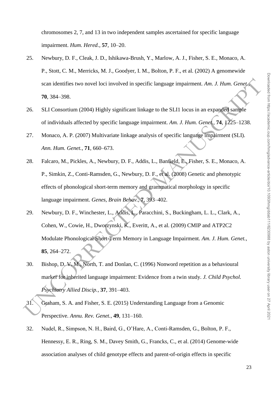chromosomes 2, 7, and 13 in two independent samples ascertained for specific language impairment. *Hum. Hered.*, **57**, 10–20.

- 25. Newbury, D. F., Cleak, J. D., Ishikawa-Brush, Y., Marlow, A. J., Fisher, S. E., Monaco, A. P., Stott, C. M., Merricks, M. J., Goodyer, I. M., Bolton, P. F., et al. (2002) A genomewide scan identifies two novel loci involved in specific language impairment. *Am. J. Hum. Genet.*, **70**, 384–398.
- 26. SLI Consortium (2004) Highly significant linkage to the SLI1 locus in an expanded sample of individuals affected by specific language impairment. *Am. J. Hum. Genet.*, **74**, 1225–1238.
- 27. Monaco, A. P. (2007) Multivariate linkage analysis of specific language impairment (SLI). *Ann. Hum. Genet.*, **71**, 660–673.
- 28. Falcaro, M., Pickles, A., Newbury, D. F., Addis, L., Banfield, E., Fisher, S. E., Monaco, A. P., Simkin, Z., Conti-Ramsden, G., Newbury, D. F., et al. (2008) Genetic and phenotypic effects of phonological short-term memory and grammatical morphology in specific language impairment. *Genes, Brain Behav.*, **7**, 393–402.
- vcan identifies two novel loci involved in specifie language impairment. Am. J. Hum. Geneta.<br>
26. SLI Consortium (2004) Highly significant linkage to the SLII locus in an expanded sample<br>
26. SLI Consortium (2004) Highly 29. Newbury, D. F., Winchester, L., Addis, L., Paracchini, S., Buckingham, L. L., Clark, A., Cohen, W., Cowie, H., Dworzynski, K., Everitt, A., et al. (2009) CMIP and ATP2C2 Modulate Phonological Short-Term Memory in Language Impairment. *Am. J. Hum. Genet.*, **85**, 264–272.
- 30. Bishop, D. V. M., North, T. and Donlan, C. (1996) Nonword repetition as a behavioural marker for inherited language impairment: Evidence from a twin study. *J. Child Psychol. Psychiatry Allied Discip.*, **37**, 391–403.
- 31. Graham, S. A. and Fisher, S. E. (2015) Understanding Language from a Genomic Perspective. *Annu. Rev. Genet.*, **49**, 131–160.
- 32. Nudel, R., Simpson, N. H., Baird, G., O'Hare, A., Conti-Ramsden, G., Bolton, P. F., Hennessy, E. R., Ring, S. M., Davey Smith, G., Francks, C., et al. (2014) Genome-wide association analyses of child genotype effects and parent-of-origin effects in specific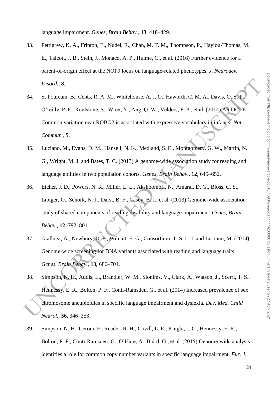language impairment. *Genes, Brain Behav.*, **13**, 418–429.

- 33. Pettigrew, K. A., Frinton, E., Nudel, R., Chan, M. T. M., Thompson, P., Hayiou-Thomas, M. E., Talcott, J. B., Stein, J., Monaco, A. P., Hulme, C., et al. (2016) Further evidence for a parent-of-origin effect at the NOP9 locus on language-related phenotypes. *J. Neurodev. Disord.*, **8**.
- *Disord.*, 8.<br>
34. St Pourcain, B., Cents, R. A. M., Whitehouse, A. J. O., Haworth, C. M. A., Davis, O. S. C. O'reilly, P. F., Roulstone, S., Wren, Y., Ang, Q. W., Velders, F. P., et al. (2014) ATICAE<br>
Commun., 5.<br>
Commun. 34. St Pourcain, B., Cents, R. A. M., Whitehouse, A. J. O., Haworth, C. M. A., Davis, O. S. P., O'reilly, P. F., Roulstone, S., Wren, Y., Ang, Q. W., Velders, F. P., et al. (2014) ARTICLE Common variation near ROBO2 is associated with expressive vocabulary in infancy. *Nat. Commun.*, **5**.
- 35. Luciano, M., Evans, D. M., Hansell, N. K., Medland, S. E., Montgomery, G. W., Martin, N. G., Wright, M. J. and Bates, T. C. (2013) A genome-wide association study for reading and language abilities in two population cohorts. *Genes, Brain Behav.*, **12**, 645–652.
- 36. Eicher, J. D., Powers, N. R., Miller, L. L., Akshoomoff, N., Amaral, D. G., Bloss, C. S., Libiger, O., Schork, N. J., Darst, B. F., Casey, B. J., et al. (2013) Genome-wide association study of shared components of reading disability and language impairment. *Genes, Brain Behav.*, **12**, 792–801.
- 37. Gialluisi, A., Newbury, D. F., Wilcutt, E. G., Consortium, T. S. L. I. and Luciano, M. (2014) Genome-wide screening for DNA variants associated with reading and language traits. *Genes, Brain Behav.*, **13**, 686–701.
- 38. Simpson, N. H., Addis, L., Brandler, W. M., Slonims, V., Clark, A., Watson, J., Scerri, T. S., Hennessy, E. R., Bolton, P. F., Conti-Ramsden, G., et al. (2014) Increased prevalence of sex chromosome aneuploidies in specific language impairment and dyslexia. *Dev. Med. Child Neurol.*, **56**, 346–353.
- 39. Simpson, N. H., Ceroni, F., Reader, R. H., Covill, L. E., Knight, J. C., Hennessy, E. R., Bolton, P. F., Conti-Ramsden, G., O'Hare, A., Baird, G., et al. (2015) Genome-wide analysis identifies a role for common copy number variants in specific language impairment. *Eur. J.*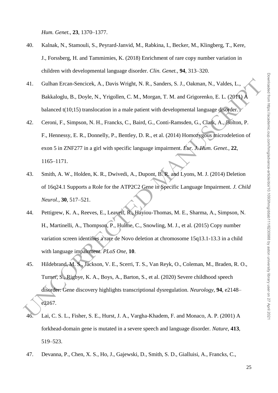*Hum. Genet.*, **23**, 1370–1377.

- 40. Kalnak, N., Stamouli, S., Peyrard-Janvid, M., Rabkina, I., Becker, M., Klingberg, T., Kere, J., Forssberg, H. and Tammimies, K. (2018) Enrichment of rare copy number variation in children with developmental language disorder. *Clin. Genet.*, **94**, 313–320.
- 41. Gulhan Ercan-Sencicek, A., Davis Wright, N. R., Sanders, S. J., Oakman, N., Valdes, L., Bakkaloglu, B., Doyle, N., Yrigollen, C. M., Morgan, T. M. and Grigorenko, E. L. (2011) A balanced t(10;15) translocation in a male patient with developmental language disorder.
- 41. Gulham Freun-Seneicek, A., Davis Wright, N. R., Sanders, S. J., Oakman, N., Valdes, L.,<br>
Bakkaloglu, B., Doyle, N., Yrigollen, C. M., Morgan, T. M. and Grigorenko, E. L. (2010).<br>
14. Ceroni, F., Simpson, N. H., Franck 42. Ceroni, F., Simpson, N. H., Francks, C., Baird, G., Conti-Ramsden, G., Clark, A., Bolton, P. F., Hennessy, E. R., Donnelly, P., Bentley, D. R., et al. (2014) Homozygous microdeletion of exon 5 in ZNF277 in a girl with specific language impairment. *Eur. J. Hum. Genet.*, **22**, 1165–1171.
- 43. Smith, A. W., Holden, K. R., Dwivedi, A., Dupont, B. R. and Lyons, M. J. (2014) Deletion of 16q24.1 Supports a Role for the ATP2C2 Gene in Specific Language Impairment. *J. Child Neurol.*, **30**, 517–521.
- 44. Pettigrew, K. A., Reeves, E., Leavett, R., Hayiou-Thomas, M. E., Sharma, A., Simpson, N. H., Martinelli, A., Thompson, P., Hulme, C., Snowling, M. J., et al. (2015) Copy number variation screen identifies a rare de Novo deletion at chromosome 15q13.1-13.3 in a child with language impairment. *PLoS One*, **10**.
- 45. Hildebrand, M. S., Jackson, V. E., Scerri, T. S., Van Reyk, O., Coleman, M., Braden, R. O., Turner, S., Rigbye, K. A., Boys, A., Barton, S., et al. (2020) Severe childhood speech disorder: Gene discovery highlights transcriptional dysregulation. *Neurology*, **94**, e2148– e2167.
- 46. Lai, C. S. L., Fisher, S. E., Hurst, J. A., Vargha-Khadem, F. and Monaco, A. P. (2001) A forkhead-domain gene is mutated in a severe speech and language disorder. *Nature*, **413**, 519–523.
- 47. Devanna, P., Chen, X. S., Ho, J., Gajewski, D., Smith, S. D., Gialluisi, A., Francks, C.,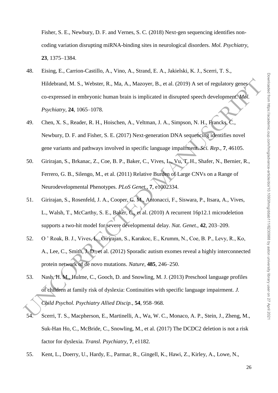Fisher, S. E., Newbury, D. F. and Vernes, S. C. (2018) Next-gen sequencing identifies noncoding variation disrupting miRNA-binding sites in neurological disorders. *Mol. Psychiatry*, **23**, 1375–1384.

- Hildebrand, M. S., Webster, R., Ma, A., Mazoyer, B., et al. (2019) A set of regulatory geness<br>
co-expressed in embryonic human brain is implicated in disrupted speech development Stol.<br> *Psychiatry*, 24, 1065–1078.<br>
49. C 48. Eising, E., Carrion-Castillo, A., Vino, A., Strand, E. A., Jakielski, K. J., Scerri, T. S., Hildebrand, M. S., Webster, R., Ma, A., Mazoyer, B., et al. (2019) A set of regulatory genes co-expressed in embryonic human brain is implicated in disrupted speech development. *Mol. Psychiatry*, **24**, 1065–1078.
- 49. Chen, X. S., Reader, R. H., Hoischen, A., Veltman, J. A., Simpson, N. H., Francks, C., Newbury, D. F. and Fisher, S. E. (2017) Next-generation DNA sequencing identifies novel gene variants and pathways involved in specific language impairment. *Sci. Rep.*, **7**, 46105.
- 50. Girirajan, S., Brkanac, Z., Coe, B. P., Baker, C., Vives, L., Vu, T. H., Shafer, N., Bernier, R., Ferrero, G. B., Silengo, M., et al. (2011) Relative Burden of Large CNVs on a Range of Neurodevelopmental Phenotypes. *PLoS Genet.*, **7**, e1002334.
- 51. Girirajan, S., Rosenfeld, J. A., Cooper, G. M., Antonacci, F., Siswara, P., Itsara, A., Vives, L., Walsh, T., McCarthy, S. E., Baker, C., et al. (2010) A recurrent 16p12.1 microdeletion supports a two-hit model for severe developmental delay. *Nat. Genet.*, **42**, 203–209.
- 52. O ' Roak, B. J., Vives, L., Girirajan, S., Karakoc, E., Krumm, N., Coe, B. P., Levy, R., Ko, A., Lee, C., Smith, J. D., et al. (2012) Sporadic autism exomes reveal a highly interconnected protein network of de novo mutations. *Nature*, **485**, 246–250.
- 53. Nash, H. M., Hulme, C., Gooch, D. and Snowling, M. J. (2013) Preschool language profiles of children at family risk of dyslexia: Continuities with specific language impairment. *J. Child Psychol. Psychiatry Allied Discip.*, **54**, 958–968.
- 54. Scerri, T. S., Macpherson, E., Martinelli, A., Wa, W. C., Monaco, A. P., Stein, J., Zheng, M., Suk-Han Ho, C., McBride, C., Snowling, M., et al. (2017) The DCDC2 deletion is not a risk factor for dyslexia. *Transl. Psychiatry*, **7**, e1182.
- 55. Kent, L., Doerry, U., Hardy, E., Parmar, R., Gingell, K., Hawi, Z., Kirley, A., Lowe, N.,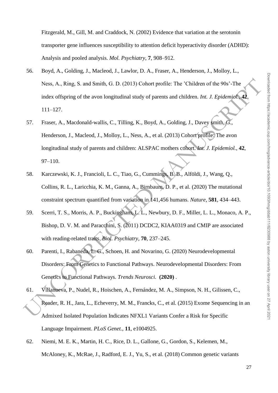Fitzgerald, M., Gill, M. and Craddock, N. (2002) Evidence that variation at the serotonin transporter gene influences susceptibility to attention deficit hyperactivity disorder (ADHD): Analysis and pooled analysis. *Mol. Psychiatry*, **7**, 908–912.

- 56. Boyd, A., Golding, J., Macleod, J., Lawlor, D. A., Fraser, A., Henderson, J., Molloy, L., Ness, A., Ring, S. and Smith, G. D. (2013) Cohort profile: The 'Children of the 90s'-The index offspring of the avon longitudinal study of parents and children. *Int. J. Epidemiol.*, **42**, 111–127.
- Ness, A., Ring, S. and Smith, G. D. (2013) Cohort profile: The 'Children of the 90s'-The<br>
index offspring of the avon longitudinal study of parents and children. Int. J. Fraidemints C.<br>
111–127.<br>
57. Fraser, A., Macdonald-57. Fraser, A., Macdonald-wallis, C., Tilling, K., Boyd, A., Golding, J., Davey smith, G., Henderson, J., Macleod, J., Molloy, L., Ness, A., et al. (2013) Cohort profile: The avon longitudinal study of parents and children: ALSPAC mothers cohort. *Int. J. Epidemiol.*, **42**, 97–110.
- 58. Karczewski, K. J., Francioli, L. C., Tiao, G., Cummings, B. B., Alföldi, J., Wang, Q., Collins, R. L., Laricchia, K. M., Ganna, A., Birnbaum, D. P., et al. (2020) The mutational constraint spectrum quantified from variation in 141,456 humans. *Nature*, **581**, 434–443.
- 59. Scerri, T. S., Morris, A. P., Buckingham, L. L., Newbury, D. F., Miller, L. L., Monaco, A. P., Bishop, D. V. M. and Paracchini, S. (2011) DCDC2, KIAA0319 and CMIP are associated with reading-related traits. *Biol. Psychiatry*, **70**, 237–245.
- 60. Parenti, I., Rabaneda, L. G., Schoen, H. and Novarino, G. (2020) Neurodevelopmental Disorders: From Genetics to Functional Pathways. Neurodevelopmental Disorders: From Genetics to Functional Pathways. *Trends Neurosci.* **(2020)** .
- 61. Villanueva, P., Nudel, R., Hoischen, A., Fernández, M. A., Simpson, N. H., Gilissen, C., Reader, R. H., Jara, L., Echeverry, M. M., Francks, C., et al. (2015) Exome Sequencing in an Admixed Isolated Population Indicates NFXL1 Variants Confer a Risk for Specific Language Impairment. *PLoS Genet.*, **11**, e1004925.
- 62. Niemi, M. E. K., Martin, H. C., Rice, D. L., Gallone, G., Gordon, S., Kelemen, M., McAloney, K., McRae, J., Radford, E. J., Yu, S., et al. (2018) Common genetic variants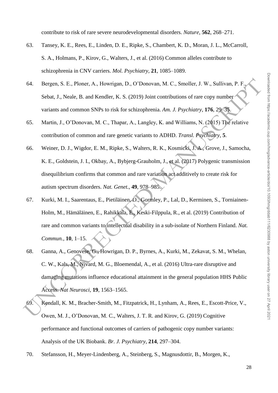contribute to risk of rare severe neurodevelopmental disorders. *Nature*, **562**, 268–271.

- 63. Tansey, K. E., Rees, E., Linden, D. E., Ripke, S., Chambert, K. D., Moran, J. L., McCarroll, S. A., Holmans, P., Kirov, G., Walters, J., et al. (2016) Common alleles contribute to schizophrenia in CNV carriers. *Mol. Psychiatry*, **21**, 1085–1089.
- 64. Bergen, S. E., Ploner, A., Howrigan, D., O'Donovan, M. C., Smoller, J. W., Sullivan, P. F. Sebat, J., Neale, B. and Kendler, K. S. (2019) Joint contributions of rare copy number variants and common SNPs to risk for schizophrenia. *Am. J. Psychiatry*, **176**, 29–35.
- 65. Martin, J., O'Donovan, M. C., Thapar, A., Langley, K. and Williams, N. (2015) The relative contribution of common and rare genetic variants to ADHD. *Transl. Psychiatry*, **5**.
- 66. Weiner, D. J., Wigdor, E. M., Ripke, S., Walters, R. K., Kosmicki, J. A., Grove, J., Samocha, K. E., Goldstein, J. I., Okbay, A., Bybjerg-Grauholm, J., et al. (2017) Polygenic transmission disequilibrium confirms that common and rare variation act additively to create risk for autism spectrum disorders. *Nat. Genet.*, **49**, 978–985.
- 64. Bergen, S. E., Ploner, A., Howrigan, D., O'Donovan, M. C., Smoller, J. W., Sullivan, P. F., Schul, J., Neale, B. and Kendler, K. S. (2019) Joint contributions of rare copy number<br>variants and common SNPs to risk for s 67. Kurki, M. I., Saarentaus, E., Pietiläinen, O., Gormley, P., Lal, D., Kerminen, S., Torniainen-Holm, M., Hämäläinen, E., Rahikkala, E., Keski-Filppula, R., et al. (2019) Contribution of rare and common variants to intellectual disability in a sub-isolate of Northern Finland. *Nat. Commun.*, **10**, 1–15.
- 68. Ganna, A., Genovese, G., Howrigan, D. P., Byrnes, A., Kurki, M., Zekavat, S. M., Whelan, C. W., Kals, M., Nivard, M. G., Bloemendal, A., et al. (2016) Ultra-rare disruptive and damaging mutations influence educational attainment in the general population HHS Public Access. *Nat Neurosci*, **19**, 1563–1565.
- 69. Kendall, K. M., Bracher-Smith, M., Fitzpatrick, H., Lynham, A., Rees, E., Escott-Price, V., Owen, M. J., O'Donovan, M. C., Walters, J. T. R. and Kirov, G. (2019) Cognitive performance and functional outcomes of carriers of pathogenic copy number variants: Analysis of the UK Biobank. *Br. J. Psychiatry*, **214**, 297–304.
- 70. Stefansson, H., Meyer-Lindenberg, A., Steinberg, S., Magnusdottir, B., Morgen, K.,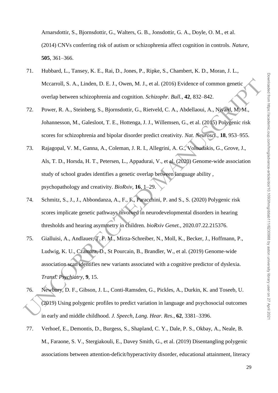Arnarsdottir, S., Bjornsdottir, G., Walters, G. B., Jonsdottir, G. A., Doyle, O. M., et al. (2014) CNVs conferring risk of autism or schizophrenia affect cognition in controls. *Nature*, **505**, 361–366.

- 71. Hubbard, L., Tansey, K. E., Rai, D., Jones, P., Ripke, S., Chambert, K. D., Moran, J. L., Mccarroll, S. A., Linden, D. E. J., Owen, M. J., et al. (2016) Evidence of common genetic overlap between schizophrenia and cognition. *Schizophr. Bull.*, **42**, 832–842.
- 72. Power, R. A., Steinberg, S., Bjornsdottir, G., Rietveld, C. A., Abdellaoui, A., Nivard, M. M., Johannesson, M., Galesloot, T. E., Hottenga, J. J., Willemsen, G., et al. (2015) Polygenic risk scores for schizophrenia and bipolar disorder predict creativity. *Nat. Neurosci.*, **18**, 953–955.
- 73. Rajagopal, V. M., Ganna, A., Coleman, J. R. I., Allegrini, A. G., Voloudakis, G., Grove, J., Als, T. D., Horsda, H. T., Petersen, L., Appadurai, V., et al. (2020) Genome-wide association study of school grades identifies a genetic overlap between language ability , psychopathology and creativity. *BioRxiv*, **16**, 1–29.
- 74. Schmitz, S., J., J., Abbondanza, A., F., F., Paracchini, P. and S., S. (2020) Polygenic risk scores implicate genetic pathways involved in neurodevelopmental disorders in hearing thresholds and hearing asymmetry in children. *bioRxiv Genet.*, 2020.07.22.215376.
- Mecarroll, S. A., Linden, D. E. J., Owen, M. J., et al. (2016) Evidence of common genetic<br>
overlap hetween schivaphrenia and engrition. Schizoplar. Bull, 42, 832–842.<br>
T2. Power, R. A., Steinberg, S., Bjornsdottir, G., Rie 75. Gialluisi, A., Andlauer, T. F. M., Mirza-Schreiber, N., Moll, K., Becker, J., Hoffmann, P., Ludwig, K. U., Czamara, D., St Pourcain, B., Brandler, W., et al. (2019) Genome-wide association scan identifies new variants associated with a cognitive predictor of dyslexia. *Transl. Psychiatry*, **9**, 15.
- 76. Newbury, D. F., Gibson, J. L., Conti-Ramsden, G., Pickles, A., Durkin, K. and Toseeb, U. (2019) Using polygenic profiles to predict variation in language and psychosocial outcomes in early and middle childhood. *J. Speech, Lang. Hear. Res.*, **62**, 3381–3396.
- 77. Verhoef, E., Demontis, D., Burgess, S., Shapland, C. Y., Dale, P. S., Okbay, A., Neale, B. M., Faraone, S. V., Stergiakouli, E., Davey Smith, G., et al. (2019) Disentangling polygenic associations between attention-deficit/hyperactivity disorder, educational attainment, literacy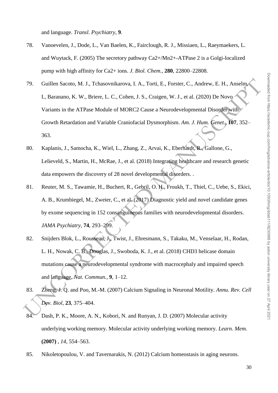and language. *Transl. Psychiatry*, **9**.

- 78. Vanoevelen, J., Dode, L., Van Baelen, K., Fairclough, R. J., Missiaen, L., Raeymaekers, L. and Wuytack, F. (2005) The secretory pathway Ca2+/Mn2+-ATPase 2 is a Golgi-localized pump with high affinity for Ca2+ ions. *J. Biol. Chem.*, **280**, 22800–22808.
- 79. Guillen Sacoto, M. J., Tehasovnikarova, I. A., Torti, E., Forster, C., Andrew, E. H., Anselm,<br>
1., Baramano, K. W., Briere, I., C., Cohen, J. S., Craigen, W. J., et al. (2020) De Nowo<br>
Variants in the ATPase Module of 79. Guillen Sacoto, M. J., Tchasovnikarova, I. A., Torti, E., Forster, C., Andrew, E. H., Anselm, I., Baranano, K. W., Briere, L. C., Cohen, J. S., Craigen, W. J., et al. (2020) De Novo Variants in the ATPase Module of MORC2 Cause a Neurodevelopmental Disorder with Growth Retardation and Variable Craniofacial Dysmorphism. *Am. J. Hum. Genet.*, **107**, 352– 363.
- 80. Kaplanis, J., Samocha, K., Wiel, L., Zhang, Z., Arvai, K., Eberhardt, R., Gallone, G., Lelieveld, S., Martin, H., McRae, J., et al. (2018) Integrating healthcare and research genetic data empowers the discovery of 28 novel developmental disorders. .
- 81. Reuter, M. S., Tawamie, H., Buchert, R., Gebril, O. H., Froukh, T., Thiel, C., Uebe, S., Ekici, A. B., Krumbiegel, M., Zweier, C., et al. (2017) Diagnostic yield and novel candidate genes by exome sequencing in 152 consanguineous families with neurodevelopmental disorders. *JAMA Psychiatry*, **74**, 293–299.
- 82. Snijders Blok, L., Rousseau, J., Twist, J., Ehresmann, S., Takaku, M., Venselaar, H., Rodan, L. H., Nowak, C. B., Douglas, J., Swoboda, K. J., et al. (2018) CHD3 helicase domain mutations cause a neurodevelopmental syndrome with macrocephaly and impaired speech and language. *Nat. Commun.*, **9**, 1–12.
- 83. Zheng, J. Q. and Poo, M.-M. (2007) Calcium Signaling in Neuronal Motility. *Annu. Rev. Cell Dev. Biol*, **23**, 375–404.
- 84. Dash, P. K., Moore, A. N., Kobori, N. and Runyan, J. D. (2007) Molecular activity underlying working memory. Molecular activity underlying working memory. *Learn. Mem.* **(2007)** , *14*, 554–563.
- 85. Nikoletopoulou, V. and Tavernarakis, N. (2012) Calcium homeostasis in aging neurons.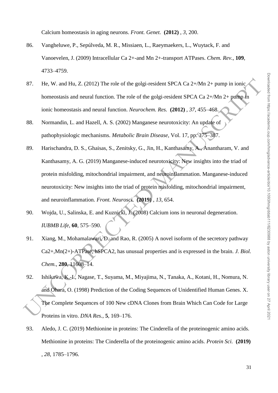Calcium homeostasis in aging neurons. *Front. Genet.* **(2012)** , *3*, 200.

- 86. Vangheluwe, P., Sepúlveda, M. R., Missiaen, L., Raeymaekers, L., Wuytack, F. and Vanoevelen, J. (2009) Intracellular Ca 2+-and Mn 2+-transport ATPases. *Chem. Rev.*, **109**, 4733–4759.
- 87. He, W. and Hu, Z. (2012) The role of the golgi-resident SPCA Ca 2+/Mn 2+ pump in ionic homeostasis and neural function. The role of the golgi-resident SPCA Ca 2+/Mn 2+ pump in ionic homeostasis and neural function. *Neurochem. Res.* **(2012)** , *37*, 455–468.
- 88. Normandin, L. and Hazell, A. S. (2002) Manganese neurotoxicity: An update of pathophysiologic mechanisms. *Metabolic Brain Disease*, Vol. 17, pp. 375–387.
- 87. He, W. and Hu, Z. (2012) The role of the golgi-resident SPCA Ca 2+/Mn 2+ pump in ionic homeostasis and neural function. The role of the golgi-resident SPCA Ca 2+/Mn 2+ pump in ionic homeostasis and neural function. Ne 89. Harischandra, D. S., Ghaisas, S., Zenitsky, G., Jin, H., Kanthasamy, A., Anantharam, V. and Kanthasamy, A. G. (2019) Manganese-induced neurotoxicity: New insights into the triad of protein misfolding, mitochondrial impairment, and neuroinflammation. Manganese-induced neurotoxicity: New insights into the triad of protein misfolding, mitochondrial impairment, and neuroinflammation. *Front. Neurosci.* **(2019)** , *13*, 654.
- 90. Wojda, U., Salinska, E. and Kuznicki, J. (2008) Calcium ions in neuronal degeneration. *IUBMB Life*, **60**, 575–590.
- 91. Xiang, M., Mohamalawari, D. and Rao, R. (2005) A novel isoform of the secretory pathway Ca2+,Mn(2+)-ATPase, hSPCA2, has unusual properties and is expressed in the brain. *J. Biol. Chem.*, **280**, 11608–14.
- 92. Ishikawa, K.-I., Nagase, T., Suyama, M., Miyajima, N., Tanaka, A., Kotani, H., Nomura, N. and Ohara, O. (1998) Prediction of the Coding Sequences of Unidentified Human Genes. X. The Complete Sequences of 100 New cDNA Clones from Brain Which Can Code for Large Proteins in vitro. *DNA Res.*, **5**, 169–176.
- 93. Aledo, J. C. (2019) Methionine in proteins: The Cinderella of the proteinogenic amino acids. Methionine in proteins: The Cinderella of the proteinogenic amino acids. *Protein Sci.* **(2019)**  , *28*, 1785–1796.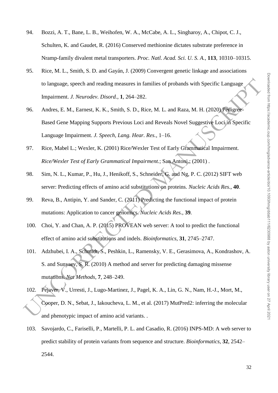- 94. Bozzi, A. T., Bane, L. B., Weihofen, W. A., McCabe, A. L., Singharoy, A., Chipot, C. J., Schulten, K. and Gaudet, R. (2016) Conserved methionine dictates substrate preference in Nramp-family divalent metal transporters. *Proc. Natl. Acad. Sci. U. S. A.*, **113**, 10310–10315.
- 95. Rice, M. L., Smith, S. D. and Gayán, J. (2009) Convergent genetic linkage and associations to language, speech and reading measures in families of probands with Specific Language Impairment. *J. Neurodev. Disord.*, **1**, 264–282.
- 96. Andres, E. M., Earnest, K. K., Smith, S. D., Rice, M. L. and Raza, M. H. (2020) Pedigree-Based Gene Mapping Supports Previous Loci and Reveals Novel Suggestive Loci in Specific Language Impairment. *J. Speech, Lang. Hear. Res.*, 1–16.
- 97. Rice, Mabel L.; Wexler, K. (2001) Rice/Wexler Test of Early Grammatical Impairment. *Rice/Wexler Test of Early Grammatical Impairment.*; San Antoni.; (2001) .
- 98. Sim, N. L., Kumar, P., Hu, J., Henikoff, S., Schneider, G. and Ng, P. C. (2012) SIFT web server: Predicting effects of amino acid substitutions on proteins. *Nucleic Acids Res.*, **40**.
- 99. Reva, B., Antipin, Y. and Sander, C. (2011) Predicting the functional impact of protein mutations: Application to cancer genomics. *Nucleic Acids Res.*, **39**.
- 100. Choi, Y. and Chan, A. P. (2015) PROVEAN web server: A tool to predict the functional effect of amino acid substitutions and indels. *Bioinformatics*, **31**, 2745–2747.
- 10 language, speech and reading measures in families of probands with Specific Language<br>
Impairment, J. Neurodev. Disord, 1, 261–282.<br>
96. Andres, E. M., Eamest, K. K., Smith, S. D., Rice, M. L. and Raza, M. H. (2020) Fedi 101. Adzhubei, I. A., Schmidt, S., Peshkin, L., Ramensky, V. E., Gerasimova, A., Kondrashov, A. S. and Sunyaev, S. R. (2010) A method and server for predicting damaging missense mutations. *Nat Methods*, **7**, 248–249.
- 102. Pejaver, V., Urresti, J., Lugo-Martinez, J., Pagel, K. A., Lin, G. N., Nam, H.-J., Mort, M., Cooper, D. N., Sebat, J., Iakoucheva, L. M., et al. (2017) MutPred2: inferring the molecular and phenotypic impact of amino acid variants. .
- 103. Savojardo, C., Fariselli, P., Martelli, P. L. and Casadio, R. (2016) INPS-MD: A web server to predict stability of protein variants from sequence and structure. *Bioinformatics*, **32**, 2542– 2544.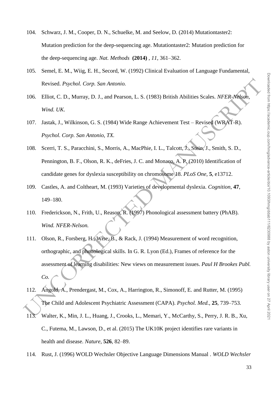- 104. Schwarz, J. M., Cooper, D. N., Schuelke, M. and Seelow, D. (2014) Mutationtaster2: Mutation prediction for the deep-sequencing age. Mutationtaster2: Mutation prediction for the deep-sequencing age. *Nat. Methods* **(2014)** , *11*, 361–362.
- 105. Semel, E. M., Wiig, E. H., Secord, W. (1992) Clinical Evaluation of Language Fundamental, Revised. *Psychol. Corp. San Antonio.*
- 106. Elliot, C. D., Murray, D. J., and Pearson, L. S. (1983) British Abilities Scales. *NFER-Nelson, Wind. UK*.
- 107. Jastak, J., Wilkinson, G. S. (1984) Wide Range Achievement Test Revised (WRAT-R). *Psychol. Corp. San Antonio, TX.*
- 108. Scerri, T. S., Paracchini, S., Morris, A., MacPhie, I. L., Talcott, J., Stein, J., Smith, S. D., Pennington, B. F., Olson, R. K., deFries, J. C. and Monaco, A. P. (2010) Identification of candidate genes for dyslexia susceptibility on chromosome 18. *PLoS One*, **5**, e13712.
- 109. Castles, A. and Coltheart, M. (1993) Varieties of developmental dyslexia. *Cognition*, **47**, 149–180.
- 110. Frederickson, N., Frith, U., Reason, R. (1997) Phonological assessment battery (PhAB). *Wind. NFER-Nelson.*
- Revised. Psychol. Corp. San Antonio.<br>
106. Elliot, C. D., Murray, D. J., and Pearson, I., S. (1983) British Abilities Scales. NFFR-Natura,<br>
Wind. UK.<br>
107. Jastak, J., Wilkinson, G. S. (1984) Wide Range Achievement Test 111. Olson, R., Forsberg, H., Wise, B., & Rack, J. (1994) Measurement of word recognition, orthographic, and phonological skills. In G. R. Lyon (Ed.), Frames of reference for the assessment of learning disabilities: New views on measurement issues. *Paul H Brookes Publ. Co.*
- 112. Angold, A., Prendergast, M., Cox, A., Harrington, R., Simonoff, E. and Rutter, M. (1995) The Child and Adolescent Psychiatric Assessment (CAPA). *Psychol. Med.*, **25**, 739–753.
- 113. Walter, K., Min, J. L., Huang, J., Crooks, L., Memari, Y., McCarthy, S., Perry, J. R. B., Xu, C., Futema, M., Lawson, D., et al. (2015) The UK10K project identifies rare variants in health and disease. *Nature*, **526**, 82–89.
- 114. Rust, J. (1996) WOLD Wechsler Objective Language Dimensions Manual . *WOLD Wechsler*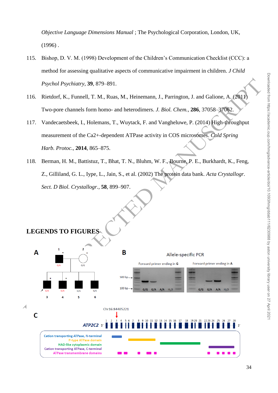*Objective Language Dimensions Manual* ; The Psychological Corporation, London, UK,  $(1996)$ .

- 115. Bishop, D. V. M. (1998) Development of the Children's Communication Checklist (CCC): a method for assessing qualitative aspects of communicative impairment in children. *J Child Psychol Psychiatry*, **39**, 879–891.
- 116. Rietdorf, K., Funnell, T. M., Ruas, M., Heinemann, J., Parrington, J. and Galione, A. (2011) Two-pore channels form homo- and heterodimers. *J. Biol. Chem.*, **286**, 37058–37062.
- 117. Vandecaetsbeek, I., Holemans, T., Wuytack, F. and Vangheluwe, P. (2014) High-throughput measurement of the Ca2+-dependent ATPase activity in COS microsomes. *Cold Spring Harb. Protoc.*, **2014**, 865–875.
- 118. Berman, H. M., Battistuz, T., Bhat, T. N., Bluhm, W. F., Bourne, P. E., Burkhardt, K., Feng, Z., Gilliland, G. L., Iype, L., Jain, S., et al. (2002) The protein data bank. *Acta Crystallogr. Sect. D Biol. Crystallogr.*, **58**, 899–907.

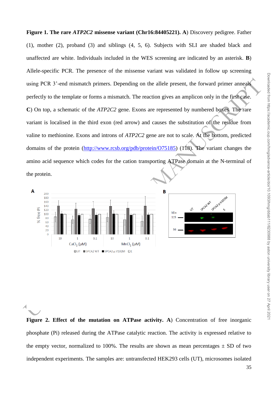using PCR 3'-end mismatch primers. Depending on the allele present, the forward primer anneal<br>perfectly to the template or forms a mismatch. The reaction gives an amplican only in the first<br>case.<br>C) On top, a schematic of **Figure 1. The rare** *ATP2C2* **missense variant (Chr16:84405221). A**) Discovery pedigree. Father (1), mother (2), proband (3) and siblings (4, 5, 6). Subjects with SLI are shaded black and unaffected are white. Individuals included in the WES screening are indicated by an asterisk. **B**) Allele-specific PCR. The presence of the missense variant was validated in follow up screening using PCR 3'-end mismatch primers. Depending on the allele present, the forward primer anneals perfectly to the template or forms a mismatch. The reaction gives an amplicon only in the first case. **C**) On top, a schematic of the *ATP2C2* gene. Exons are represented by numbered boxes. The rare variant is localised in the third exon (red arrow) and causes the substitution of the residue from valine to methionine. Exons and introns of *ATP2C2* gene are not to scale. At the bottom, predicted domains of the protein (http://www.rcsb.org/pdb/protein/O75185) (118). The variant changes the amino acid sequence which codes for the cation transporting ATPase domain at the N-terminal of the protein.







Figure 2. Effect of the mutation on ATPase activity. A) Concentration of free inorganic phosphate (Pi) released during the ATPase catalytic reaction. The activity is expressed relative to the empty vector, normalized to 100%. The results are shown as mean percentages  $\pm$  SD of two independent experiments. The samples are: untransfected HEK293 cells (UT), microsomes isolated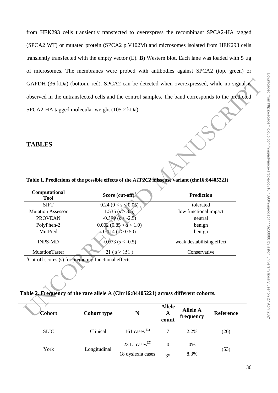from HEK293 cells transiently transfected to overexpress the recombinant SPCA2-HA tagged (SPCA2 WT) or mutated protein (SPCA2 p.V102M) and microsomes isolated from HEK293 cells transiently transfected with the empty vector (E). **B**) Western blot. Each lane was loaded with 5 µg of microsomes. The membranes were probed with antibodies against SPCA2 (top, green) or GAPDH (36 kDa) (bottom, red). SPCA2 can be detected when overexpressed, while no signal is observed in the untransfected cells and the control samples. The band corresponds to the predicted SPCA2-HA tagged molecular weight (105.2 kDa).

## **TABLES**

|                                                                   |                                                                                              | GAPDH (36 kDa) (bottom, red). SPCA2 can be detected when overexpressed, while no signal is         |
|-------------------------------------------------------------------|----------------------------------------------------------------------------------------------|----------------------------------------------------------------------------------------------------|
|                                                                   |                                                                                              | observed in the untransfected cells and the control samples. The band corresponds to the predicted |
|                                                                   | SPCA2-HA tagged molecular weight (105.2 kDa).                                                |                                                                                                    |
| <b>TABLES</b>                                                     | Table 1. Predictions of the possible effects of the ATP2C2 missense variant (chr16:84405221) |                                                                                                    |
| Computational<br><b>Tool</b>                                      | Score $(cut-off)1$                                                                           | <b>Prediction</b>                                                                                  |
| <b>SIFT</b>                                                       | $0.24~(0 < s \leq 0.05)$                                                                     | tolerated                                                                                          |
| <b>Mutation Assessor</b>                                          | $1.535$ (s > 3.5)                                                                            | low functional impact                                                                              |
| <b>PROVEAN</b>                                                    | $-0.399$ (s $\leq -2.5$ )                                                                    | neutral                                                                                            |
| PolyPhen-2                                                        | $0.002$ $(0.85 < s < 1.0)$                                                                   | benign                                                                                             |
| MutPred                                                           | $0.114$ (s $> 0.50$ )                                                                        | benign                                                                                             |
| <b>INPS-MD</b>                                                    | $-0.073$ (s < $-0.5$ )                                                                       | weak destabilising effect                                                                          |
| MutationTaster                                                    | $21 (s \ge 151)$                                                                             | Conservative                                                                                       |
| <sup>1</sup> Cut-off scores (s) for predicting functional effects | 'able 2. Frequency of the rare allele A (Chr16:84405221) across different cohorts.           |                                                                                                    |
| Cohort                                                            | <b>Cohort type</b><br>N                                                                      | <b>Allele</b><br><b>Allele A</b><br>Reference<br>A<br>frequencv                                    |

### **Table 2. Frequency of the rare allele A (Chr16:84405221) across different cohorts.**

| Cohort      | <b>Cohort type</b> |                                                              | <b>Allele</b><br>A<br>count | <b>Allele A</b><br>frequency | <b>Reference</b> |
|-------------|--------------------|--------------------------------------------------------------|-----------------------------|------------------------------|------------------|
| <b>SLIC</b> | Clinical           | 161 cases $(1)$                                              |                             | 2.2%                         | (26)             |
| York        | Longitudinal       | 23 LI cases <sup><math>(2)</math></sup><br>18 dyslexia cases | $\Omega$<br>$3*$            | 0%<br>8.3%                   | (53)             |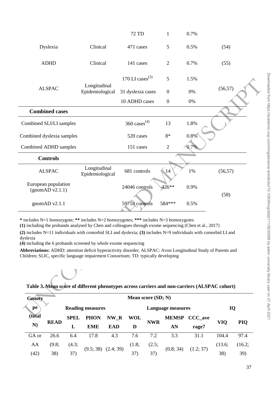|                                                                                                                                                                                                                                                                                                                        |                                 | 72 TD                       | 1                        | 0.7%          |          |  |  |  |  |
|------------------------------------------------------------------------------------------------------------------------------------------------------------------------------------------------------------------------------------------------------------------------------------------------------------------------|---------------------------------|-----------------------------|--------------------------|---------------|----------|--|--|--|--|
| Dyslexia                                                                                                                                                                                                                                                                                                               | Clinical                        | 471 cases                   | 5                        | 0.5%          | (54)     |  |  |  |  |
| <b>ADHD</b>                                                                                                                                                                                                                                                                                                            | Clinical                        | 141 cases                   | $\overline{2}$           | 0.7%          | (55)     |  |  |  |  |
|                                                                                                                                                                                                                                                                                                                        |                                 | 170 LI cases <sup>(3)</sup> | 5                        | 1.5%          |          |  |  |  |  |
| <b>ALSPAC</b>                                                                                                                                                                                                                                                                                                          | Longitudinal<br>Epidemiological | 31 dyslexia cases           | $\boldsymbol{0}$         | 0%            | (56, 57) |  |  |  |  |
|                                                                                                                                                                                                                                                                                                                        |                                 | 10 ADHD cases               | $\boldsymbol{0}$         | 0%            |          |  |  |  |  |
| <b>Combined cases</b>                                                                                                                                                                                                                                                                                                  |                                 |                             |                          |               |          |  |  |  |  |
| Combined SLI/LI samples                                                                                                                                                                                                                                                                                                |                                 | 360 cases $(4)$             | 13                       | 1.8%          |          |  |  |  |  |
| Combined dyslexia samples                                                                                                                                                                                                                                                                                              |                                 | 520 cases                   | 8*                       | 0.8%          |          |  |  |  |  |
| Combined ADHD samples                                                                                                                                                                                                                                                                                                  |                                 | 151 cases                   | $\mathbf{2}$             | $-0.7%$       |          |  |  |  |  |
| <b>Controls</b>                                                                                                                                                                                                                                                                                                        |                                 |                             |                          |               |          |  |  |  |  |
| <b>ALSPAC</b>                                                                                                                                                                                                                                                                                                          | Longitudinal<br>Epidemiological | 681 controls                | $\blacksquare$ 14        | 1%            | (56, 57) |  |  |  |  |
| European population<br>(gnomAD v2.1.1)                                                                                                                                                                                                                                                                                 |                                 | 24046 controls              | 426**                    | 0.9%          | (58)     |  |  |  |  |
| gnom $AD$ v2.1.1                                                                                                                                                                                                                                                                                                       |                                 | 59718 controls              | 584***                   | 0.5%          |          |  |  |  |  |
| * includes N=1 homozygote; ** includes N=2 homozygotes; *** includes N=3 homozygotes<br>(1) including the probands analysed by Chen and colleagues through exome sequencing (Chen et al., 2017)<br>(2) includes $N=11$ individuals with comorbid SLI and dyslexia; (3) includes $N=9$ individuals with comorbid LI and |                                 |                             |                          |               |          |  |  |  |  |
| dyslexia                                                                                                                                                                                                                                                                                                               |                                 |                             |                          |               |          |  |  |  |  |
| (4) including the 6 probands screened by whole exome sequencing<br>Abbreviations: ADHD: attention deficit hyperactivity disorder; ALSPAC: Avon Longitudinal Study of Parents and                                                                                                                                       |                                 |                             |                          |               |          |  |  |  |  |
| Children; SLIC, specific language impairment Consortium; TD: typically developing                                                                                                                                                                                                                                      |                                 |                             |                          |               |          |  |  |  |  |
|                                                                                                                                                                                                                                                                                                                        |                                 |                             |                          |               |          |  |  |  |  |
| Table 3. Mean score of different phenotypes across carriers and non-carriers (ALSPAC cohort)                                                                                                                                                                                                                           |                                 |                             |                          |               |          |  |  |  |  |
| <b>Genoty</b>                                                                                                                                                                                                                                                                                                          |                                 | Mean score (SD; N)          |                          |               |          |  |  |  |  |
| pe                                                                                                                                                                                                                                                                                                                     | <b>Reading measures</b>         |                             | <b>Language measures</b> |               | IQ       |  |  |  |  |
| (total                                                                                                                                                                                                                                                                                                                 | SPEL PHON NW R WOL              |                             |                          | MEMSP CCC ave |          |  |  |  |  |

# **Table 3. Mean score of different phenotypes across carriers and non-carriers (ALSPAC cohort)**

| Genoty |             |                         |            |            |                         | Mean score (SD; N) |              |         |           |            |        |
|--------|-------------|-------------------------|------------|------------|-------------------------|--------------------|--------------|---------|-----------|------------|--------|
| pe     |             | <b>Reading measures</b> |            |            |                         | Language measures  | IQ           |         |           |            |        |
| (total |             | <b>SPEL</b>             | PHON       | NW R       | WOL                     |                    | <b>MEMSP</b> | CCC ave |           |            |        |
| N)     | <b>READ</b> | L                       | <b>EME</b> | <b>EAD</b> | D                       | <b>NWR</b>         | AN           | rage7   | VIO       | <b>PIQ</b> |        |
| GA or  | 26.6        | 6.4                     | 17.8       | 4.3        | 7.6                     | 7.2                | 3.3          | 31.1    | 104.4     | 97.4       |        |
| AA     | (9.8;       | (4.3;                   |            | 37)        | $(9.5; 38)$ $(2.4; 39)$ | (1.8;              | (2.5;        |         |           | (13.6;     | (16.2; |
| (42)   | 38)         |                         |            |            |                         |                    | 37)          | 37)     | (0.8; 34) | (1.2; 37)  | 38)    |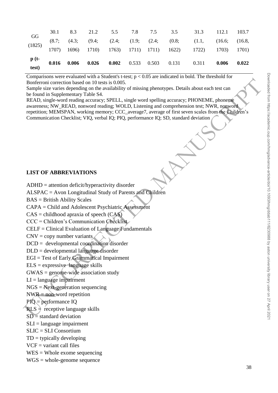| (8.7; (4.3; (9.4; (2.4; (1.9; (2.4; (0.8; (1.1, (16.6; (16.8, (1825) 1707) 1696) 1710) 1763) 1711) 1711) 1622) 1722) 1703) 1701) |    |  |  |  | $\frac{p(t-)}{test}$ 0.016 0.006 0.026 0.002 0.533 0.503 0.131 0.311 0.006 0.022 |  |
|----------------------------------------------------------------------------------------------------------------------------------|----|--|--|--|----------------------------------------------------------------------------------|--|
|                                                                                                                                  |    |  |  |  |                                                                                  |  |
| 30.1 8.3 21.2 5.5 7.8 7.5 3.5 31.3 112.1 103.7                                                                                   | GG |  |  |  |                                                                                  |  |

Comparisons were evaluated with a Student's t-test;  $p < 0.05$  are indicated in bold. The threshold for Bonferroni correction based on 10 tests is 0.005.

Sample size varies depending on the availability of missing phenotypes. Details about each test can be found in Supplementary Table S4.

Bordinaria (corrected many decreases) 0.015-5 (a) (Section and Section Scale of the Section and Scale SAD, single-secret radius accuracy; FHClar and control section of  $RFAD$ , single-word radius accuracy; FHClar and contro READ, single-word reading accuracy; SPELL, single word spelling accuracy; PHONEME, phoneme awareness; NW\_READ, nonword reading; WOLD, Listening and comprehension test; NWR, nonword repetition; MEMSPAN, working memory; CCC\_average7, average of first seven scales from the Children's Communication Checklist; VIQ, verbal IQ; PIQ, performance IQ; SD, standard deviation

### **LIST OF ABBREVIATIONS**

ADHD = attention deficit/hyperactivity disorder

ALSPAC = Avon Longitudinal Study of Parents and Children

BAS = British Ability Scales

CAPA = Child and Adolescent Psychiatric Assessment

 $CAS = childhood$  apraxia of speech  $(CAS)$ 

CCC = Children's Communication Checklist

CELF = Clinical Evaluation of Language Fundamentals

 $CNV = copy$  number variants

```
DCD = developmental coordination disorder
```
DLD = developmental language disorder

EGI = Test of Early Grammatical Impairment

 $ELS = expressive$  language skills

 $GWAS =$  genome-wide association study

 $LI =$ language impairment

NGS = Next-generation sequencing

 $NWR = non-word repetition$ 

PIQ = performance IQ

 $RLS \neq$  receptive language skills

 $SD = standard deviation$ 

SLI = language impairment

SLIC = SLI Consortium

 $TD = typically developeding$ 

 $VCF = variant call files$ 

 $WES = Whole$  exome sequencing

WGS = whole-genome sequence